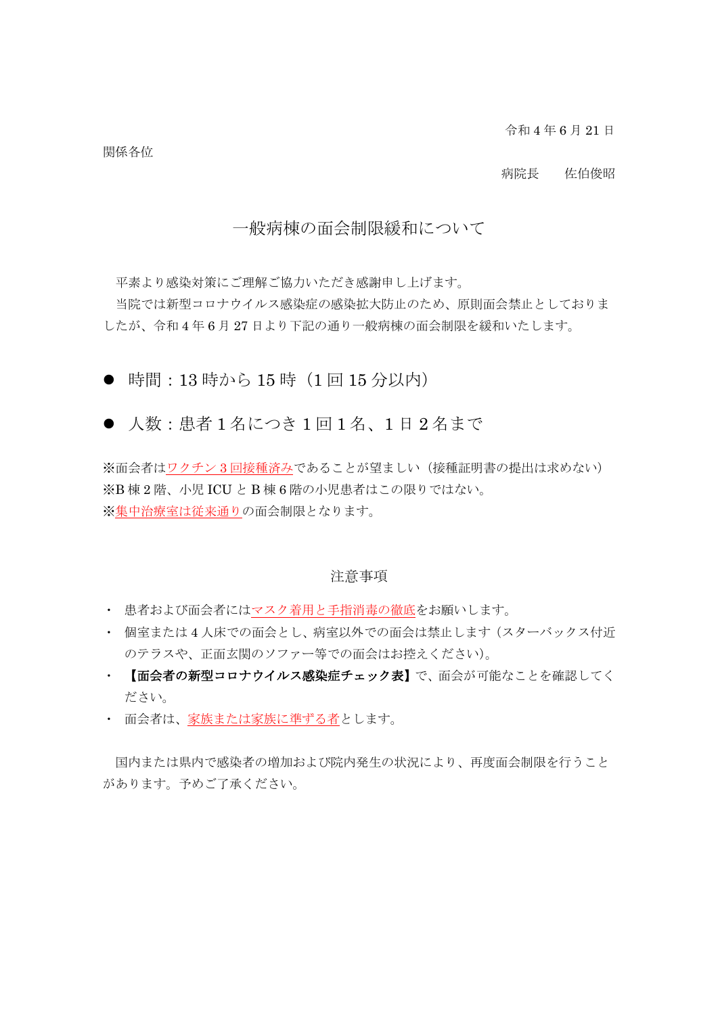令和 4 年 6 月 21 日

関係各位

### 病院長 佐伯俊昭

## 一般病棟の面会制限緩和について

平素より感染対策にご理解ご協力いただき感謝申し上げます。

当院では新型コロナウイルス感染症の感染拡大防止のため、原則面会禁止としておりま したが、令和 4 年 6 月 27 日より下記の通り一般病棟の面会制限を緩和いたします。

● 時間: 13 時から 15 時 (1 回 15 分以内)

● 人数: 患者1名につき1回1名、1日2名まで

※面会者はワクチン 3 回接種済みであることが望ましい(接種証明書の提出は求めない) ※B 棟 2 階、小児 ICU と B 棟 6 階の小児患者はこの限りではない。 ※集中治療室は従来通りの面会制限となります。

### 注意事項

- ・ 患者および面会者にはマスク着用と手指消毒の徹底をお願いします。
- ・ 個室または 4 人床での面会とし、病室以外での面会は禁止します(スターバックス付近 のテラスや、正面玄関のソファー等での面会はお控えください)。
- ・ 【面会者の新型コロナウイルス感染症チェック表】で、面会が可能なことを確認してく ださい。
- ・ 面会者は、家族または家族に準ずる者とします。

国内または県内で感染者の増加および院内発生の状況により、再度面会制限を行うこと があります。予めご了承ください。